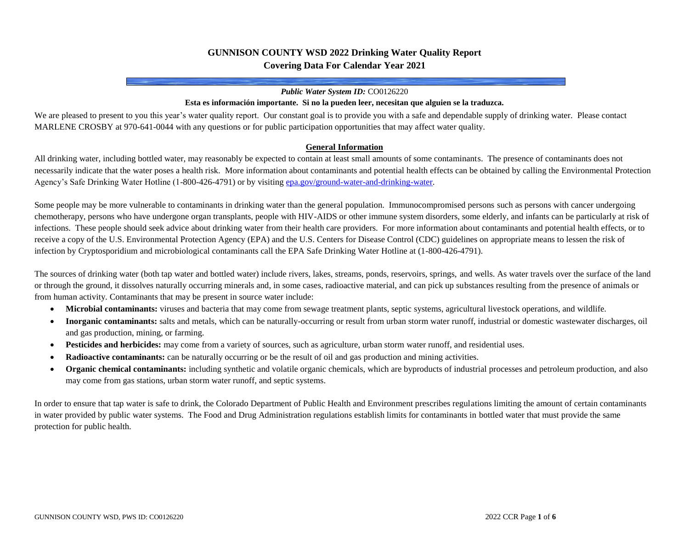## **GUNNISON COUNTY WSD 2022 Drinking Water Quality Report Covering Data For Calendar Year 2021**

#### *Public Water System ID:* CO0126220

#### **Esta es información importante. Si no la pueden leer, necesitan que alguien se la traduzca.**

We are pleased to present to you this year's water quality report. Our constant goal is to provide you with a safe and dependable supply of drinking water. Please contact MARLENE CROSBY at 970-641-0044 with any questions or for public participation opportunities that may affect water quality.

#### **General Information**

All drinking water, including bottled water, may reasonably be expected to contain at least small amounts of some contaminants. The presence of contaminants does not necessarily indicate that the water poses a health risk. More information about contaminants and potential health effects can be obtained by calling the Environmental Protection Agency's Safe Drinking Water Hotline (1-800-426-4791) or by visitin[g epa.gov/ground-water-and-drinking-water.](https://www.epa.gov/ground-water-and-drinking-water)

Some people may be more vulnerable to contaminants in drinking water than the general population. Immunocompromised persons such as persons with cancer undergoing chemotherapy, persons who have undergone organ transplants, people with HIV-AIDS or other immune system disorders, some elderly, and infants can be particularly at risk of infections. These people should seek advice about drinking water from their health care providers. For more information about contaminants and potential health effects, or to receive a copy of the U.S. Environmental Protection Agency (EPA) and the U.S. Centers for Disease Control (CDC) guidelines on appropriate means to lessen the risk of infection by Cryptosporidium and microbiological contaminants call the EPA Safe Drinking Water Hotline at (1-800-426-4791).

The sources of drinking water (both tap water and bottled water) include rivers, lakes, streams, ponds, reservoirs, springs, and wells. As water travels over the surface of the land or through the ground, it dissolves naturally occurring minerals and, in some cases, radioactive material, and can pick up substances resulting from the presence of animals or from human activity. Contaminants that may be present in source water include:

- **Microbial contaminants:** viruses and bacteria that may come from sewage treatment plants, septic systems, agricultural livestock operations, and wildlife.
- **Inorganic contaminants:** salts and metals, which can be naturally-occurring or result from urban storm water runoff, industrial or domestic wastewater discharges, oil and gas production, mining, or farming.
- **Pesticides and herbicides:** may come from a variety of sources, such as agriculture, urban storm water runoff, and residential uses.
- **Radioactive contaminants:** can be naturally occurring or be the result of oil and gas production and mining activities.
- **Organic chemical contaminants:** including synthetic and volatile organic chemicals, which are byproducts of industrial processes and petroleum production, and also may come from gas stations, urban storm water runoff, and septic systems.

In order to ensure that tap water is safe to drink, the Colorado Department of Public Health and Environment prescribes regulations limiting the amount of certain contaminants in water provided by public water systems. The Food and Drug Administration regulations establish limits for contaminants in bottled water that must provide the same protection for public health.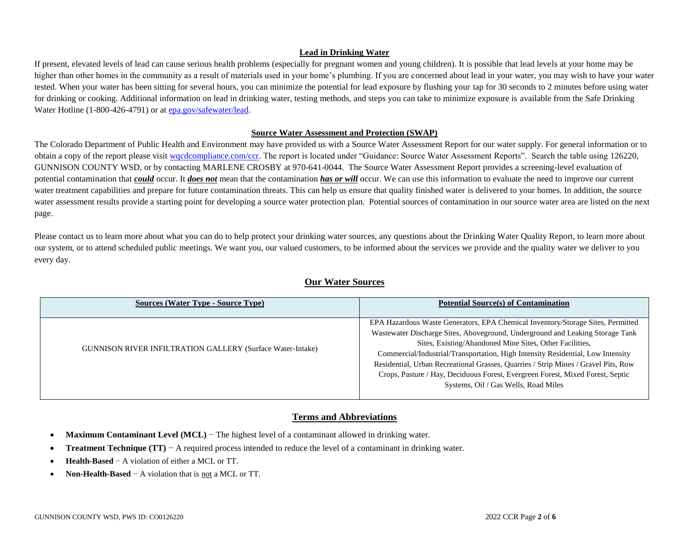### **Lead in Drinking Water**

If present, elevated levels of lead can cause serious health problems (especially for pregnant women and young children). It is possible that lead levels at your home may be higher than other homes in the community as a result of materials used in your home's plumbing. If you are concerned about lead in your water, you may wish to have your water tested. When your water has been sitting for several hours, you can minimize the potential for lead exposure by flushing your tap for 30 seconds to 2 minutes before using water for drinking or cooking. Additional information on lead in drinking water, testing methods, and steps you can take to minimize exposure is available from the Safe Drinking Water Hotline (1-800-426-4791) or a[t epa.gov/safewater/lead.](http://www.epa.gov/safewater/lead)

### **Source Water Assessment and Protection (SWAP)**

The Colorado Department of Public Health and Environment may have provided us with a Source Water Assessment Report for our water supply. For general information or to obtain a copy of the report please visit wordcompliance.com/ccr. The report is located under "Guidance: Source Water Assessment Reports". Search the table using 126220, GUNNISON COUNTY WSD, or by contacting MARLENE CROSBY at 970-641-0044. The Source Water Assessment Report provides a screening-level evaluation of potential contamination that *could* occur. It *does not* mean that the contamination *has or will* occur. We can use this information to evaluate the need to improve our current water treatment capabilities and prepare for future contamination threats. This can help us ensure that quality finished water is delivered to your homes. In addition, the source water assessment results provide a starting point for developing a source water protection plan. Potential sources of contamination in our source water area are listed on the next page.

Please contact us to learn more about what you can do to help protect your drinking water sources, any questions about the Drinking Water Quality Report, to learn more about our system, or to attend scheduled public meetings. We want you, our valued customers, to be informed about the services we provide and the quality water we deliver to you every day.

| <b>Sources (Water Type - Source Type)</b>                         | <b>Potential Source(s) of Contamination</b>                                                                                                                                                                                                                                                                                                                                                                                                                                                                                    |
|-------------------------------------------------------------------|--------------------------------------------------------------------------------------------------------------------------------------------------------------------------------------------------------------------------------------------------------------------------------------------------------------------------------------------------------------------------------------------------------------------------------------------------------------------------------------------------------------------------------|
| <b>GUNNISON RIVER INFILTRATION GALLERY (Surface Water-Intake)</b> | EPA Hazardous Waste Generators, EPA Chemical Inventory/Storage Sites, Permitted<br>Wastewater Discharge Sites, Aboveground, Underground and Leaking Storage Tank<br>Sites, Existing/Abandoned Mine Sites, Other Facilities,<br>Commercial/Industrial/Transportation, High Intensity Residential, Low Intensity<br>Residential, Urban Recreational Grasses, Quarries / Strip Mines / Gravel Pits, Row<br>Crops, Pasture / Hay, Deciduous Forest, Evergreen Forest, Mixed Forest, Septic<br>Systems, Oil / Gas Wells, Road Miles |

## **Our Water Sources**

## **Terms and Abbreviations**

- **Maximum Contaminant Level (MCL)** − The highest level of a contaminant allowed in drinking water.
- **Treatment Technique (TT)** − A required process intended to reduce the level of a contaminant in drinking water.
- **Health-Based** − A violation of either a MCL or TT.
- **Non-Health-Based** − A violation that is not a MCL or TT.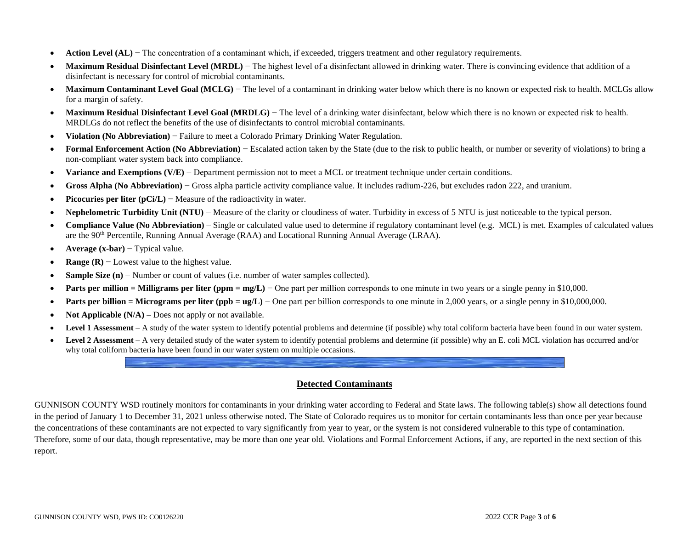- **Action Level (AL)** The concentration of a contaminant which, if exceeded, triggers treatment and other regulatory requirements.
- **Maximum Residual Disinfectant Level (MRDL)** The highest level of a disinfectant allowed in drinking water. There is convincing evidence that addition of a disinfectant is necessary for control of microbial contaminants.
- **Maximum Contaminant Level Goal (MCLG)** The level of a contaminant in drinking water below which there is no known or expected risk to health. MCLGs allow for a margin of safety.
- **Maximum Residual Disinfectant Level Goal (MRDLG)** The level of a drinking water disinfectant, below which there is no known or expected risk to health. MRDLGs do not reflect the benefits of the use of disinfectants to control microbial contaminants.
- **Violation (No Abbreviation)** − Failure to meet a Colorado Primary Drinking Water Regulation.
- **Formal Enforcement Action (No Abbreviation)** − Escalated action taken by the State (due to the risk to public health, or number or severity of violations) to bring a non-compliant water system back into compliance.
- **Variance and Exemptions (V/E)** − Department permission not to meet a MCL or treatment technique under certain conditions.
- **Gross Alpha (No Abbreviation)** − Gross alpha particle activity compliance value. It includes radium-226, but excludes radon 222, and uranium.
- **Picocuries per liter (pCi/L)** − Measure of the radioactivity in water.
- **Nephelometric Turbidity Unit (NTU)** − Measure of the clarity or cloudiness of water. Turbidity in excess of 5 NTU is just noticeable to the typical person.
- **Compliance Value (No Abbreviation)** Single or calculated value used to determine if regulatory contaminant level (e.g. MCL) is met. Examples of calculated values are the 90th Percentile, Running Annual Average (RAA) and Locational Running Annual Average (LRAA).
- **Average (x-bar)** − Typical value.
- **Range (R)** − Lowest value to the highest value.
- **Sample Size (n)** − Number or count of values (i.e. number of water samples collected).
- **Parts per million = Milligrams per liter (ppm = mg/L)** − One part per million corresponds to one minute in two years or a single penny in \$10,000.
- **Parts per billion = Micrograms per liter (ppb = ug/L)** One part per billion corresponds to one minute in 2,000 years, or a single penny in \$10,000,000.
- **Not Applicable (N/A)** Does not apply or not available.
- **Level 1 Assessment** A study of the water system to identify potential problems and determine (if possible) why total coliform bacteria have been found in our water system.
- Level 2 Assessment A very detailed study of the water system to identify potential problems and determine (if possible) why an E. coli MCL violation has occurred and/or why total coliform bacteria have been found in our water system on multiple occasions.

## **Detected Contaminants**

GUNNISON COUNTY WSD routinely monitors for contaminants in your drinking water according to Federal and State laws. The following table(s) show all detections found in the period of January 1 to December 31, 2021 unless otherwise noted. The State of Colorado requires us to monitor for certain contaminants less than once per year because the concentrations of these contaminants are not expected to vary significantly from year to year, or the system is not considered vulnerable to this type of contamination. Therefore, some of our data, though representative, may be more than one year old. Violations and Formal Enforcement Actions, if any, are reported in the next section of this report.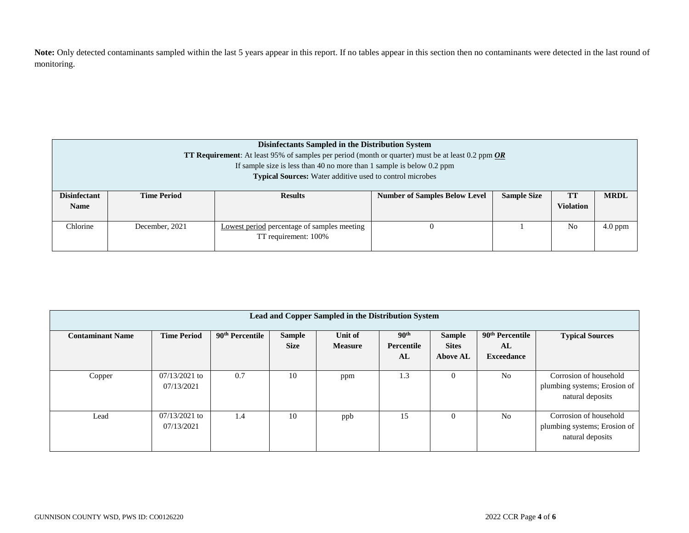Note: Only detected contaminants sampled within the last 5 years appear in this report. If no tables appear in this section then no contaminants were detected in the last round of monitoring.

| Disinfectants Sampled in the Distribution System<br><b>TT Requirement:</b> At least 95% of samples per period (month or quarter) must be at least 0.2 ppm $\overline{OR}$<br>If sample size is less than 40 no more than 1 sample is below $0.2$ ppm<br><b>Typical Sources:</b> Water additive used to control microbes |                    |                                                                                                                       |  |  |                |           |  |  |
|-------------------------------------------------------------------------------------------------------------------------------------------------------------------------------------------------------------------------------------------------------------------------------------------------------------------------|--------------------|-----------------------------------------------------------------------------------------------------------------------|--|--|----------------|-----------|--|--|
| <b>Disinfectant</b><br><b>Name</b>                                                                                                                                                                                                                                                                                      | <b>Time Period</b> | <b>Sample Size</b><br>TT<br><b>MRDL</b><br><b>Number of Samples Below Level</b><br><b>Results</b><br><b>Violation</b> |  |  |                |           |  |  |
| Chlorine                                                                                                                                                                                                                                                                                                                | December, 2021     | Lowest period percentage of samples meeting<br>TT requirement: 100%                                                   |  |  | N <sub>0</sub> | $4.0$ ppm |  |  |

| Lead and Copper Sampled in the Distribution System |                               |                             |                              |                           |                                      |                                                  |                                                        |                                                                            |  |
|----------------------------------------------------|-------------------------------|-----------------------------|------------------------------|---------------------------|--------------------------------------|--------------------------------------------------|--------------------------------------------------------|----------------------------------------------------------------------------|--|
| <b>Contaminant Name</b>                            | <b>Time Period</b>            | 90 <sup>th</sup> Percentile | <b>Sample</b><br><b>Size</b> | Unit of<br><b>Measure</b> | 90 <sup>th</sup><br>Percentile<br>AL | <b>Sample</b><br><b>Sites</b><br><b>Above AL</b> | 90 <sup>th</sup> Percentile<br>AL<br><b>Exceedance</b> | <b>Typical Sources</b>                                                     |  |
| Copper                                             | $07/13/2021$ to<br>07/13/2021 | 0.7                         | 10                           | ppm                       | 1.3                                  | U                                                | N <sub>0</sub>                                         | Corrosion of household<br>plumbing systems; Erosion of<br>natural deposits |  |
| Lead                                               | $07/13/2021$ to<br>07/13/2021 | 1.4                         | 10                           | ppb                       | 15                                   | 0                                                | N <sub>0</sub>                                         | Corrosion of household<br>plumbing systems; Erosion of<br>natural deposits |  |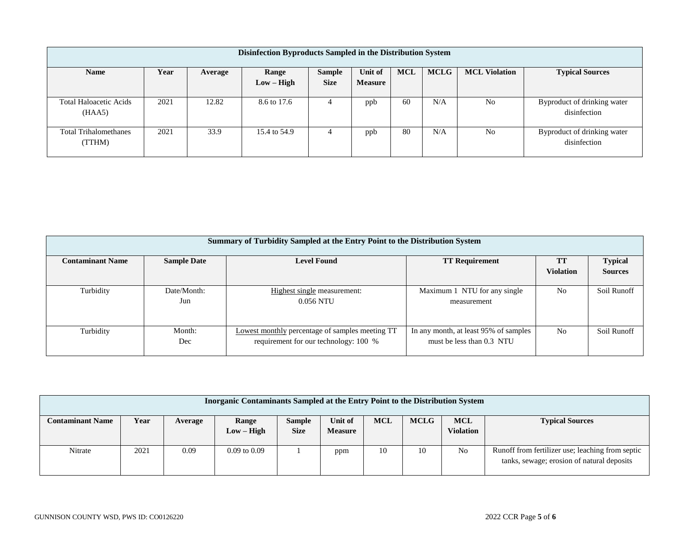| Disinfection Byproducts Sampled in the Distribution System                                                               |      |       |              |             |                |    |     |                |                                             |
|--------------------------------------------------------------------------------------------------------------------------|------|-------|--------------|-------------|----------------|----|-----|----------------|---------------------------------------------|
| <b>MCLG</b><br><b>MCL Violation</b><br><b>MCL</b><br>Year<br>Unit of<br><b>Name</b><br><b>Sample</b><br>Range<br>Average |      |       |              |             |                |    |     |                | <b>Typical Sources</b>                      |
|                                                                                                                          |      |       | $Low - High$ | <b>Size</b> | <b>Measure</b> |    |     |                |                                             |
| <b>Total Haloacetic Acids</b><br>(HAA5)                                                                                  | 2021 | 12.82 | 8.6 to 17.6  | 4           | ppb            | 60 | N/A | N <sub>0</sub> | Byproduct of drinking water<br>disinfection |
| <b>Total Trihalomethanes</b><br>(TTHM)                                                                                   | 2021 | 33.9  | 15.4 to 54.9 | 4           | ppb            | 80 | N/A | N <sub>0</sub> | Byproduct of drinking water<br>disinfection |

| Summary of Turbidity Sampled at the Entry Point to the Distribution System |                                                                   |                                                        |                                       |                  |                |  |  |  |  |  |
|----------------------------------------------------------------------------|-------------------------------------------------------------------|--------------------------------------------------------|---------------------------------------|------------------|----------------|--|--|--|--|--|
| <b>Contaminant Name</b>                                                    | <b>Level Found</b><br><b>Sample Date</b><br><b>TT Requirement</b> |                                                        |                                       |                  |                |  |  |  |  |  |
|                                                                            |                                                                   |                                                        |                                       | <b>Violation</b> | <b>Sources</b> |  |  |  |  |  |
|                                                                            |                                                                   |                                                        |                                       |                  |                |  |  |  |  |  |
| Turbidity                                                                  | Date/Month:                                                       | Highest single measurement:                            | Maximum 1 NTU for any single          | N <sub>0</sub>   | Soil Runoff    |  |  |  |  |  |
|                                                                            | Jun                                                               | 0.056 NTU                                              | measurement                           |                  |                |  |  |  |  |  |
|                                                                            |                                                                   |                                                        |                                       |                  |                |  |  |  |  |  |
|                                                                            |                                                                   |                                                        |                                       |                  |                |  |  |  |  |  |
| Turbidity                                                                  | Month:                                                            | <b>Lowest monthly percentage of samples meeting TT</b> | In any month, at least 95% of samples | N <sub>0</sub>   | Soil Runoff    |  |  |  |  |  |
|                                                                            | Dec                                                               | requirement for our technology: 100 %                  | must be less than 0.3 NTU             |                  |                |  |  |  |  |  |
|                                                                            |                                                                   |                                                        |                                       |                  |                |  |  |  |  |  |

| Inorganic Contaminants Sampled at the Entry Point to the Distribution System |      |         |                       |                              |                           |            |             |                                |                                                                                                |
|------------------------------------------------------------------------------|------|---------|-----------------------|------------------------------|---------------------------|------------|-------------|--------------------------------|------------------------------------------------------------------------------------------------|
| <b>Contaminant Name</b>                                                      | Year | Average | Range<br>$Low - High$ | <b>Sample</b><br><b>Size</b> | Unit of<br><b>Measure</b> | <b>MCL</b> | <b>MCLG</b> | <b>MCL</b><br><b>Violation</b> | <b>Typical Sources</b>                                                                         |
| Nitrate                                                                      | 2021 | 0.09    | $0.09$ to $0.09$      |                              | ppm                       | 10         | 10          | N <sub>0</sub>                 | Runoff from fertilizer use; leaching from septic<br>tanks, sewage; erosion of natural deposits |